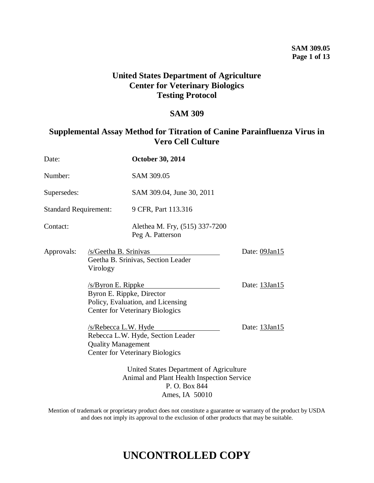## **United States Department of Agriculture Center for Veterinary Biologics Testing Protocol**

## **SAM 309**

## **Supplemental Assay Method for Titration of Canine Parainfluenza Virus in Vero Cell Culture**

| Date:                        |                                                                                                                          | October 30, 2014                                                            |                     |
|------------------------------|--------------------------------------------------------------------------------------------------------------------------|-----------------------------------------------------------------------------|---------------------|
| Number:                      |                                                                                                                          | SAM 309.05                                                                  |                     |
| Supersedes:                  |                                                                                                                          | SAM 309.04, June 30, 2011                                                   |                     |
| <b>Standard Requirement:</b> |                                                                                                                          | 9 CFR, Part 113.316                                                         |                     |
| Contact:                     |                                                                                                                          | Alethea M. Fry, (515) 337-7200<br>Peg A. Patterson                          |                     |
| Approvals:                   | /s/Geetha B. Srinivas<br>Geetha B. Srinivas, Section Leader<br>Virology                                                  |                                                                             | Date: 09Jan15       |
|                              | /s/Byron E. Rippke<br>Byron E. Rippke, Director                                                                          | Policy, Evaluation, and Licensing<br><b>Center for Veterinary Biologics</b> | Date: $13$ Jan $15$ |
|                              | <u>/s/Rebecca L.W. Hyde</u><br><b>Quality Management</b>                                                                 | Rebecca L.W. Hyde, Section Leader<br><b>Center for Veterinary Biologics</b> | Date: 13Jan15       |
|                              | United States Department of Agriculture<br>Animal and Plant Health Inspection Service<br>P. O. Box 844<br>Ames, IA 50010 |                                                                             |                     |

Mention of trademark or proprietary product does not constitute a guarantee or warranty of the product by USDA and does not imply its approval to the exclusion of other products that may be suitable.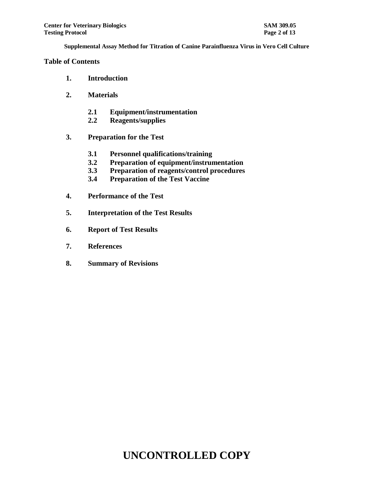### **Table of Contents**

- **1. Introduction**
- **2. Materials**
	- **2.1 Equipment/instrumentation**
	- **2.2 Reagents/supplies**
- **3. Preparation for the Test**
	- **3.1 Personnel qualifications/training**
	- **3.2 Preparation of equipment/instrumentation**
	- **3.3 Preparation of reagents/control procedures**
	- **3.4 Preparation of the Test Vaccine**
- **4. Performance of the Test**
- **5. Interpretation of the Test Results**
- **6. Report of Test Results**
- **7. References**
- **8. Summary of Revisions**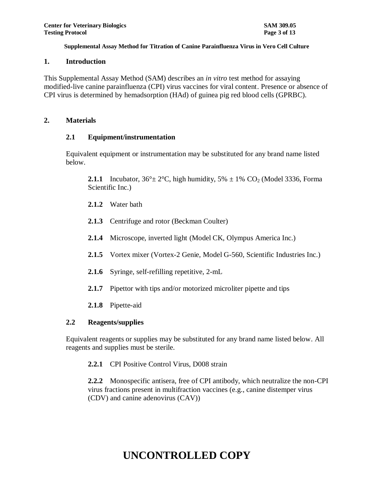### **1. Introduction**

This Supplemental Assay Method (SAM) describes an *in vitro* test method for assaying modified-live canine parainfluenza (CPI) virus vaccines for viral content. Presence or absence of CPI virus is determined by hemadsorption (HAd) of guinea pig red blood cells (GPRBC).

### **2. Materials**

### **2.1 Equipment/instrumentation**

Equivalent equipment or instrumentation may be substituted for any brand name listed below.

**2.1.1** Incubator,  $36^{\circ} \pm 2^{\circ}$ C, high humidity,  $5\% \pm 1\%$  CO<sub>2</sub> (Model 3336, Forma Scientific Inc.)

- **2.1.2** Water bath
- **2.1.3** Centrifuge and rotor (Beckman Coulter)
- **2.1.4** Microscope, inverted light (Model CK, Olympus America Inc.)
- **2.1.5** Vortex mixer (Vortex-2 Genie, Model G-560, Scientific Industries Inc.)
- **2.1.6** Syringe, self-refilling repetitive, 2-mL
- **2.1.7** Pipettor with tips and/or motorized microliter pipette and tips
- **2.1.8** Pipette-aid

## **2.2 Reagents/supplies**

Equivalent reagents or supplies may be substituted for any brand name listed below. All reagents and supplies must be sterile.

**2.2.1** CPI Positive Control Virus, D008 strain

**2.2.2** Monospecific antisera, free of CPI antibody, which neutralize the non-CPI virus fractions present in multifraction vaccines (e.g., canine distemper virus (CDV) and canine adenovirus (CAV))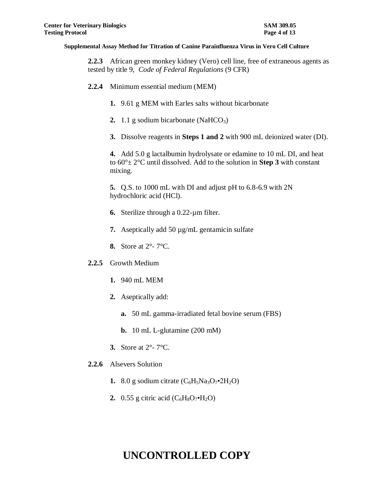**2.2.3** African green monkey kidney (Vero) cell line, free of extraneous agents as tested by title 9, *Code of Federal Regulations* (9 CFR)

- **2.2.4** Minimum essential medium (MEM)
	- **1.** 9.61 g MEM with Earles salts without bicarbonate
	- **2.** 1.1 g sodium bicarbonate (NaHCO<sub>3</sub>)
	- **3.** Dissolve reagents in **Steps 1 and 2** with 900 mL deionized water (DI).

**4.** Add 5.0 g lactalbumin hydrolysate or edamine to 10 mL DI, and heat to 60°± 2°C until dissolved. Add to the solution in **Step 3** with constant mixing.

**5.** Q.S. to 1000 mL with DI and adjust pH to 6.8-6.9 with 2N hydrochloric acid (HCl).

- **6.** Sterilize through a 0.22-µm filter.
- **7.** Aseptically add 50 µg/mL gentamicin sulfate
- **8.** Store at 2°- 7°C.
- **2.2.5** Growth Medium
	- **1.** 940 mL MEM
	- **2.** Aseptically add:
		- **a.** 50 mL gamma-irradiated fetal bovine serum (FBS)
		- **b.** 10 mL L-glutamine (200 mM)
	- **3.** Store at 2°- 7°C.
- **2.2.6** Alsevers Solution
	- **1.** 8.0 g sodium citrate  $(C_6H_5Na_3O_7 \cdot 2H_2O)$
	- **2.** 0.55 g citric acid  $(C_6H_8O_7 \cdot H_2O)$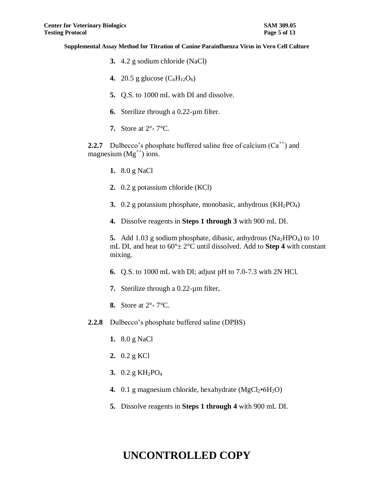- **3.** 4.2 g sodium chloride (NaCl)
- **4.** 20.5 g glucose  $(C_6H_{12}O_6)$
- **5.** Q.S. to 1000 mL with DI and dissolve.
- **6.** Sterilize through a 0.22-µm filter.
- **7.** Store at 2°- 7°C.

**2.2.7** Dulbecco's phosphate buffered saline free of calcium  $(Ca^{++})$  and magnesium  $(Mg^{++})$  ions.

- **1.** 8.0 g NaCl
- **2.** 0.2 g potassium chloride (KCl)
- **3.** 0.2 g potassium phosphate, monobasic, anhydrous (KH<sub>2</sub>PO<sub>4</sub>)
- **4.** Dissolve reagents in **Steps 1 through 3** with 900 mL DI.

**5.** Add 1.03 g sodium phosphate, dibasic, anhydrous  $(Na_2HPO_4)$  to 10 mL DI, and heat to  $60^{\circ}$  ±  $2^{\circ}$ C until dissolved. Add to **Step 4** with constant mixing.

- **6.** Q.S. to 1000 mL with DI; adjust pH to 7.0-7.3 with 2N HCl.
- **7.** Sterilize through a 0.22-µm filter**.**
- **8.** Store at 2°- 7°C.
- **2.2.8** Dulbecco's phosphate buffered saline (DPBS)
	- **1.** 8.0 g NaCl
	- **2.** 0.2 g KCl
	- 3. 0.2 g KH<sub>2</sub>PO<sub>4</sub>
	- **4.** 0.1 g magnesium chloride, hexahydrate  $(MgCl<sub>2</sub>•6H<sub>2</sub>O)$
	- **5.** Dissolve reagents in **Steps 1 through 4** with 900 mL DI.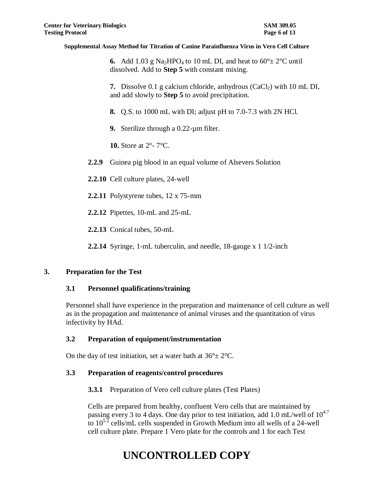**6.** Add 1.03 g Na<sub>2</sub>HPO<sub>4</sub> to 10 mL DI, and heat to  $60^{\circ} \pm 2^{\circ}$ C until dissolved. Add to **Step 5** with constant mixing.

**7.** Dissolve 0.1 g calcium chloride, anhydrous (CaCl<sub>2</sub>) with 10 mL DI, and add slowly to **Step 5** to avoid precipitation.

**8.** Q.S. to 1000 mL with DI; adjust pH to 7.0-7.3 with 2N HCl.

**9.** Sterilize through a 0.22-µm filter.

**10.** Store at 2°- 7°C.

**2.2.9** Guinea pig blood in an equal volume of Alsevers Solution

**2.2.10** Cell culture plates, 24-well

**2.2.11** Polystyrene tubes, 12 x 75-mm

**2.2.12** Pipettes, 10-mL and 25-mL

**2.2.13** Conical tubes, 50-mL

**2.2.14** Syringe, 1-mL tuberculin, and needle, 18-gauge x 1 1/2-inch

### **3. Preparation for the Test**

## **3.1 Personnel qualifications/training**

Personnel shall have experience in the preparation and maintenance of cell culture as well as in the propagation and maintenance of animal viruses and the quantitation of virus infectivity by HAd.

## **3.2 Preparation of equipment/instrumentation**

On the day of test initiation, set a water bath at  $36^{\circ} \pm 2^{\circ}$ C.

## **3.3 Preparation of reagents/control procedures**

**3.3.1** Preparation of Vero cell culture plates (Test Plates)

Cells are prepared from healthy, confluent Vero cells that are maintained by passing every 3 to 4 days. One day prior to test initiation, add 1.0 mL/well of  $10^{4.7}$ to  $10^{5.2}$  cells/mL cells suspended in Growth Medium into all wells of a 24-well cell culture plate. Prepare 1 Vero plate for the controls and 1 for each Test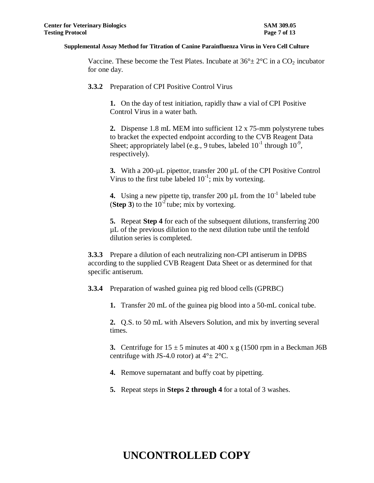Vaccine. These become the Test Plates. Incubate at  $36^{\circ} \pm 2^{\circ}$ C in a CO<sub>2</sub> incubator for one day.

**3.3.2** Preparation of CPI Positive Control Virus

**1.** On the day of test initiation, rapidly thaw a vial of CPI Positive Control Virus in a water bath.

**2.** Dispense 1.8 mL MEM into sufficient 12 x 75-mm polystyrene tubes to bracket the expected endpoint according to the CVB Reagent Data Sheet; appropriately label (e.g., 9 tubes, labeled  $10^{-1}$  through  $10^{-9}$ , respectively).

**3.** With a 200-µL pipettor, transfer 200 µL of the CPI Positive Control Virus to the first tube labeled  $10^{-1}$ ; mix by vortexing.

**4.** Using a new pipette tip, transfer 200  $\mu$ L from the  $10^{-1}$  labeled tube (**Step 3**) to the  $10^{-2}$  tube; mix by vortexing.

**5.** Repeat **Step 4** for each of the subsequent dilutions, transferring 200 µL of the previous dilution to the next dilution tube until the tenfold dilution series is completed.

**3.3.3** Prepare a dilution of each neutralizing non-CPI antiserum in DPBS according to the supplied CVB Reagent Data Sheet or as determined for that specific antiserum.

**3.3.4** Preparation of washed guinea pig red blood cells (GPRBC)

**1.** Transfer 20 mL of the guinea pig blood into a 50-mL conical tube.

**2.** Q.S. to 50 mL with Alsevers Solution, and mix by inverting several times.

**3.** Centrifuge for  $15 \pm 5$  minutes at 400 x g (1500 rpm in a Beckman J6B centrifuge with JS-4.0 rotor) at  $4^{\circ}$  ±  $2^{\circ}$ C.

- **4.** Remove supernatant and buffy coat by pipetting.
- **5.** Repeat steps in **Steps 2 through 4** for a total of 3 washes.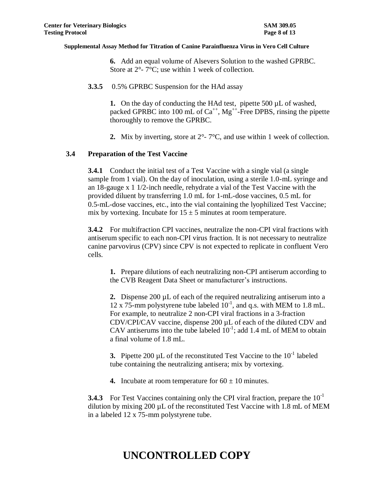**6.** Add an equal volume of Alsevers Solution to the washed GPRBC. Store at  $2^{\circ}$ -  $7^{\circ}$ C; use within 1 week of collection.

**3.3.5** 0.5% GPRBC Suspension for the HAd assay

**1.** On the day of conducting the HAd test, pipette 500 µL of washed, packed GPRBC into 100 mL of  $Ca^{++}$ ,  $Mg^{++}$ -Free DPBS, rinsing the pipette thoroughly to remove the GPRBC.

**2.** Mix by inverting, store at 2°- 7°C, and use within 1 week of collection.

## **3.4 Preparation of the Test Vaccine**

**3.4.1** Conduct the initial test of a Test Vaccine with a single vial (a single sample from 1 vial). On the day of inoculation, using a sterile 1.0-mL syringe and an 18-gauge x 1 1/2-inch needle, rehydrate a vial of the Test Vaccine with the provided diluent by transferring 1.0 mL for 1-mL-dose vaccines, 0.5 mL for 0.5-mL-dose vaccines, etc., into the vial containing the lyophilized Test Vaccine; mix by vortexing. Incubate for  $15 \pm 5$  minutes at room temperature.

**3.4.2** For multifraction CPI vaccines, neutralize the non-CPI viral fractions with antiserum specific to each non-CPI virus fraction. It is not necessary to neutralize canine parvovirus (CPV) since CPV is not expected to replicate in confluent Vero cells.

**1.** Prepare dilutions of each neutralizing non-CPI antiserum according to the CVB Reagent Data Sheet or manufacturer's instructions.

**2.** Dispense 200 µL of each of the required neutralizing antiserum into a 12 x 75-mm polystyrene tube labeled  $10^{-1}$ , and q.s. with MEM to 1.8 mL. For example, to neutralize 2 non-CPI viral fractions in a 3-fraction CDV/CPI/CAV vaccine, dispense 200 µL of each of the diluted CDV and CAV antiserums into the tube labeled  $10^{-1}$ ; add 1.4 mL of MEM to obtain a final volume of 1.8 mL.

**3.** Pipette 200  $\mu$ L of the reconstituted Test Vaccine to the  $10^{-1}$  labeled tube containing the neutralizing antisera; mix by vortexing.

**4.** Incubate at room temperature for  $60 \pm 10$  minutes.

**3.4.3** For Test Vaccines containing only the CPI viral fraction, prepare the 10<sup>-1</sup> dilution by mixing 200 µL of the reconstituted Test Vaccine with 1.8 mL of MEM in a labeled 12 x 75-mm polystyrene tube.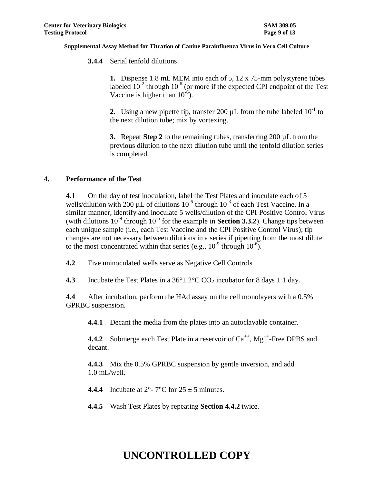**3.4.4** Serial tenfold dilutions

**1.** Dispense 1.8 mL MEM into each of 5, 12 x 75-mm polystyrene tubes labeled  $10^{-2}$  through  $10^{-6}$  (or more if the expected CPI endpoint of the Test Vaccine is higher than  $10^{-6}$ ).

**2.** Using a new pipette tip, transfer 200  $\mu$ L from the tube labeled  $10^{-1}$  to the next dilution tube; mix by vortexing.

**3.** Repeat **Step 2** to the remaining tubes, transferring 200 µL from the previous dilution to the next dilution tube until the tenfold dilution series is completed.

## **4. Performance of the Test**

**4.1** On the day of test inoculation, label the Test Plates and inoculate each of 5 wells/dilution with 200 µL of dilutions  $10^{-6}$  through  $10^{-3}$  of each Test Vaccine. In a similar manner, identify and inoculate 5 wells/dilution of the CPI Positive Control Virus (with dilutions  $10^{-9}$  through  $10^{-6}$  for the example in **Section 3.3.2**). Change tips between each unique sample (i.e., each Test Vaccine and the CPI Positive Control Virus); tip changes are not necessary between dilutions in a series if pipetting from the most dilute to the most concentrated within that series (e.g.,  $10^{-9}$  through  $10^{-6}$ ).

**4.2** Five uninoculated wells serve as Negative Cell Controls.

**4.3** Incubate the Test Plates in a  $36^\circ \pm 2^\circ \text{C}$  CO<sub>2</sub> incubator for 8 days  $\pm 1$  day.

**4.4** After incubation, perform the HAd assay on the cell monolayers with a 0.5% GPRBC suspension.

**4.4.1** Decant the media from the plates into an autoclavable container.

**4.4.2** Submerge each Test Plate in a reservoir of  $Ca^{++}$ ,  $Mg^{++}$ -Free DPBS and decant.

**4.4.3** Mix the 0.5% GPRBC suspension by gentle inversion, and add 1.0 mL/well.

**4.4.4** Incubate at  $2^{\circ}$ -  $7^{\circ}$ C for  $25 \pm 5$  minutes.

**4.4.5** Wash Test Plates by repeating **Section 4.4.2** twice.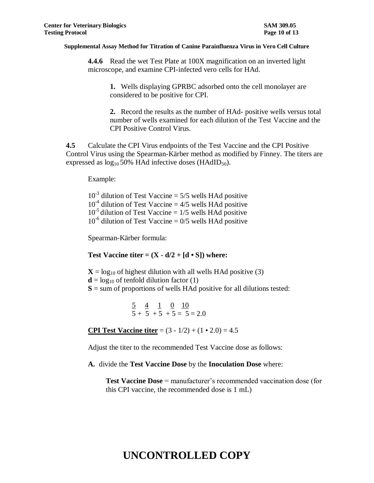**4.4.6** Read the wet Test Plate at 100X magnification on an inverted light microscope, and examine CPI-infected vero cells for HAd.

**1.** Wells displaying GPRBC adsorbed onto the cell monolayer are considered to be positive for CPI.

**2.** Record the results as the number of HAd- positive wells versus total number of wells examined for each dilution of the Test Vaccine and the CPI Positive Control Virus.

**4.5** Calculate the CPI Virus endpoints of the Test Vaccine and the CPI Positive Control Virus using the Spearman-Kärber method as modified by Finney. The titers are expressed as  $log_{10} 50\%$  HAd infective doses (HAdID<sub>50</sub>).

Example:

 $10^{-3}$  dilution of Test Vaccine = 5/5 wells HAd positive  $10^{-4}$  dilution of Test Vaccine = 4/5 wells HAd positive  $10^{-5}$  dilution of Test Vaccine = 1/5 wells HAd positive  $10^{-6}$  dilution of Test Vaccine = 0/5 wells HAd positive

Spearman-Kärber formula:

**Test Vaccine titer =**  $(X - d/2 + [d \cdot S])$  **where:** 

 $X = log_{10}$  of highest dilution with all wells HAd positive (3)  $\mathbf{d} = \log_{10}$  of tenfold dilution factor (1)  $S =$ sum of proportions of wells HAd positive for all dilutions tested:

> $\frac{5}{2}$   $\frac{4}{1}$   $\frac{1}{0}$   $\frac{10}{10}$  $5 + 5 + 5 + 5 = 5 = 2.0$

**CPI Test Vaccine titer** =  $(3 - 1/2) + (1 \cdot 2.0) = 4.5$ 

Adjust the titer to the recommended Test Vaccine dose as follows:

**A.** divide the **Test Vaccine Dose** by the **Inoculation Dose** where:

**Test Vaccine Dose** = manufacturer's recommended vaccination dose (for this CPI vaccine, the recommended dose is 1 mL)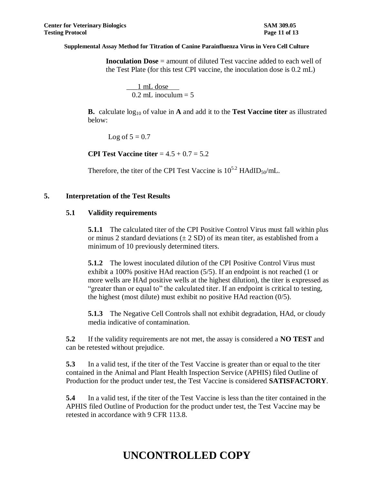**Inoculation Dose** = amount of diluted Test vaccine added to each well of the Test Plate (for this test CPI vaccine, the inoculation dose is 0.2 mL)

 \_\_\_1 mL dose  $0.2$  mL inoculum = 5

**B.** calculate log<sup>10</sup> of value in **A** and add it to the **Test Vaccine titer** as illustrated below:

Log of  $5 = 0.7$ 

**CPI Test Vaccine titer** = 4.5 + 0.7 = 5.2

Therefore, the titer of the CPI Test Vaccine is  $10^{5.2}$  HAdID<sub>50</sub>/mL.

## **5. Interpretation of the Test Results**

## **5.1 Validity requirements**

**5.1.1** The calculated titer of the CPI Positive Control Virus must fall within plus or minus 2 standard deviations  $(\pm 2 \text{ SD})$  of its mean titer, as established from a minimum of 10 previously determined titers.

**5.1.2** The lowest inoculated dilution of the CPI Positive Control Virus must exhibit a 100% positive HAd reaction (5/5). If an endpoint is not reached (1 or more wells are HAd positive wells at the highest dilution), the titer is expressed as "greater than or equal to" the calculated titer. If an endpoint is critical to testing, the highest (most dilute) must exhibit no positive HAd reaction (0/5).

**5.1.3** The Negative Cell Controls shall not exhibit degradation, HAd, or cloudy media indicative of contamination.

**5.2** If the validity requirements are not met, the assay is considered a **NO TEST** and can be retested without prejudice.

**5.3** In a valid test, if the titer of the Test Vaccine is greater than or equal to the titer contained in the Animal and Plant Health Inspection Service (APHIS) filed Outline of Production for the product under test, the Test Vaccine is considered **SATISFACTORY**.

**5.4** In a valid test, if the titer of the Test Vaccine is less than the titer contained in the APHIS filed Outline of Production for the product under test, the Test Vaccine may be retested in accordance with 9 CFR 113.8.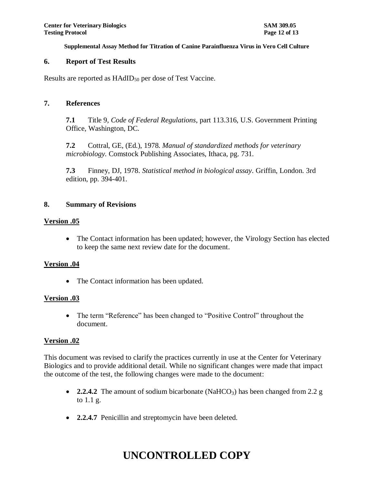### **6. Report of Test Results**

Results are reported as  $HAdID_{50}$  per dose of Test Vaccine.

### **7. References**

**7.1** Title 9, *Code of Federal Regulations*, part 113.316, U.S. Government Printing Office, Washington, DC.

**7.2** Cottral, GE, (Ed.), 1978. *Manual of standardized methods for veterinary microbiology.* Comstock Publishing Associates, Ithaca, pg. 731.

**7.3** Finney, DJ, 1978. *Statistical method in biological assay*. Griffin, London. 3rd edition, pp. 394-401.

### **8. Summary of Revisions**

### **Version .05**

• The Contact information has been updated; however, the Virology Section has elected to keep the same next review date for the document.

### **Version .04**

• The Contact information has been updated.

### **Version .03**

• The term "Reference" has been changed to "Positive Control" throughout the document.

### **Version .02**

This document was revised to clarify the practices currently in use at the Center for Veterinary Biologics and to provide additional detail. While no significant changes were made that impact the outcome of the test, the following changes were made to the document:

- **2.2.4.2** The amount of sodium bicarbonate (NaHCO<sub>3</sub>) has been changed from 2.2 g to 1.1 g.
- **2.2.4.7** Penicillin and streptomycin have been deleted.